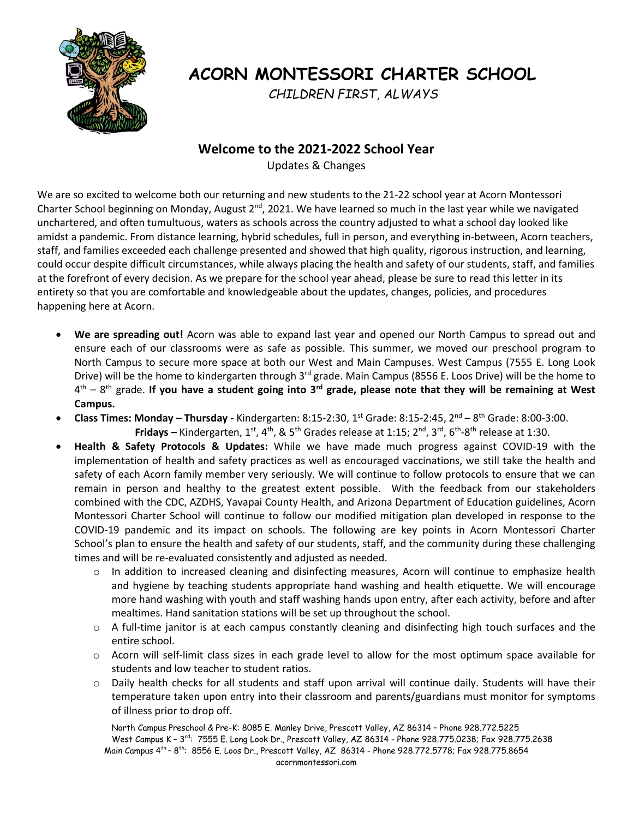

## **ACORN MONTESSORI CHARTER SCHOOL**

 *CHILDREN FIRST, ALWAYS*

## **Welcome to the 2021-2022 School Year**

Updates & Changes

We are so excited to welcome both our returning and new students to the 21-22 school year at Acorn Montessori Charter School beginning on Monday, August  $2^{nd}$ , 2021. We have learned so much in the last year while we navigated unchartered, and often tumultuous, waters as schools across the country adjusted to what a school day looked like amidst a pandemic. From distance learning, hybrid schedules, full in person, and everything in-between, Acorn teachers, staff, and families exceeded each challenge presented and showed that high quality, rigorous instruction, and learning, could occur despite difficult circumstances, while always placing the health and safety of our students, staff, and families at the forefront of every decision. As we prepare for the school year ahead, please be sure to read this letter in its entirety so that you are comfortable and knowledgeable about the updates, changes, policies, and procedures happening here at Acorn.

- **We are spreading out!** Acorn was able to expand last year and opened our North Campus to spread out and ensure each of our classrooms were as safe as possible. This summer, we moved our preschool program to North Campus to secure more space at both our West and Main Campuses. West Campus (7555 E. Long Look Drive) will be the home to kindergarten through 3<sup>rd</sup> grade. Main Campus (8556 E. Loos Drive) will be the home to 4 th – 8 th grade. **If you have a student going into 3rd grade, please note that they will be remaining at West Campus.**
- **Class Times: Monday – Thursday -** Kindergarten: 8:15-2:30, 1st Grade: 8:15-2:45, 2nd 8 th Grade: 8:00-3:00. **Fridays** – Kindergarten, 1<sup>st</sup>, 4<sup>th</sup>, & 5<sup>th</sup> Grades release at 1:15; 2<sup>nd</sup>, 3<sup>rd</sup>, 6<sup>th</sup>-8<sup>th</sup> release at 1:30.
- **Health & Safety Protocols & Updates:** While we have made much progress against COVID-19 with the implementation of health and safety practices as well as encouraged vaccinations, we still take the health and safety of each Acorn family member very seriously. We will continue to follow protocols to ensure that we can remain in person and healthy to the greatest extent possible. With the feedback from our stakeholders combined with the CDC, AZDHS, Yavapai County Health, and Arizona Department of Education guidelines, Acorn Montessori Charter School will continue to follow our modified mitigation plan developed in response to the COVID-19 pandemic and its impact on schools. The following are key points in Acorn Montessori Charter School's plan to ensure the health and safety of our students, staff, and the community during these challenging times and will be re-evaluated consistently and adjusted as needed.
	- o In addition to increased cleaning and disinfecting measures, Acorn will continue to emphasize health and hygiene by teaching students appropriate hand washing and health etiquette. We will encourage more hand washing with youth and staff washing hands upon entry, after each activity, before and after mealtimes. Hand sanitation stations will be set up throughout the school.
	- $\circ$  A full-time janitor is at each campus constantly cleaning and disinfecting high touch surfaces and the entire school.
	- o Acorn will self-limit class sizes in each grade level to allow for the most optimum space available for students and low teacher to student ratios.
	- o Daily health checks for all students and staff upon arrival will continue daily. Students will have their temperature taken upon entry into their classroom and parents/guardians must monitor for symptoms of illness prior to drop off.

 North Campus Preschool & Pre-K: 8085 E. Manley Drive, Prescott Valley, AZ 86314 – Phone 928.772.5225 West Campus K – 3<sup>rd</sup>: 7555 E. Long Look Dr., Prescott Valley, AZ 86314 - Phone 928.775.0238; Fax 928.775.2638 Main Campus 4<sup>th</sup> – 8<sup>th</sup>: 8556 E. Loos Dr., Prescott Valley, AZ 86314 - Phone 928.772.5778; Fax 928.775.8654 acornmontessori.com